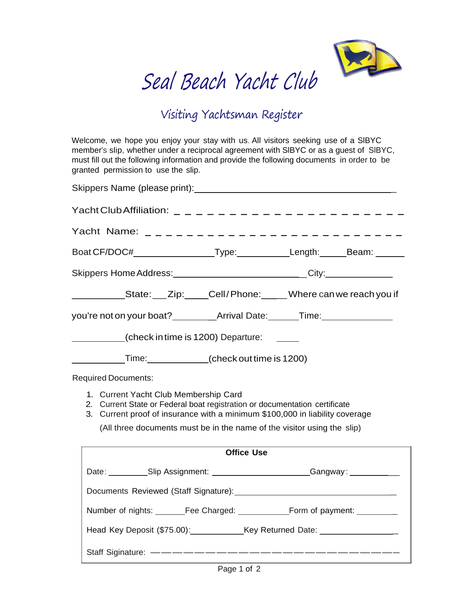

## Seal Beach Yacht Club

## Visiting Yachtsman Register

Welcome, we hope you enjoy your stay with us. All visitors seeking use of a SlBYC member's slip, whether under a reciprocal agreement with SlBYC or as a guest of SlBYC, must fill out the following information and provide the following documents in order to be granted permission to use the slip.

| Yacht Club Affiliation: ______________________                                                                                                                                                      |  |                                                                                  |  |  |
|-----------------------------------------------------------------------------------------------------------------------------------------------------------------------------------------------------|--|----------------------------------------------------------------------------------|--|--|
| Yacht Name: ____________________________                                                                                                                                                            |  |                                                                                  |  |  |
| Boat CF/DOC#_____________________Type:______________Length:_______Beam: _______                                                                                                                     |  |                                                                                  |  |  |
|                                                                                                                                                                                                     |  | Skippers Home Address: _______________________________City:_____________________ |  |  |
| ______________State: ___ Zip: _____ Cell/Phone: ___ __ Where can we reach you if                                                                                                                    |  |                                                                                  |  |  |
| you're not on your boat? ____________Arrival Date: _______Time: ________________                                                                                                                    |  |                                                                                  |  |  |
| (check in time is 1200) Departure:                                                                                                                                                                  |  |                                                                                  |  |  |
| Time: (check out time is 1200)                                                                                                                                                                      |  |                                                                                  |  |  |
| <b>Required Documents:</b>                                                                                                                                                                          |  |                                                                                  |  |  |
| 1. Current Yacht Club Membership Card<br>2. Current State or Federal boat registration or documentation certificate<br>3. Current proof of insurance with a minimum \$100,000 in liability coverage |  |                                                                                  |  |  |
| (All three documents must be in the name of the visitor using the slip)                                                                                                                             |  |                                                                                  |  |  |
| <b>Office Use</b>                                                                                                                                                                                   |  |                                                                                  |  |  |
| Date: Slip Assignment: Slip Assignment: Sangway: Sangway:                                                                                                                                           |  |                                                                                  |  |  |
|                                                                                                                                                                                                     |  |                                                                                  |  |  |
|                                                                                                                                                                                                     |  |                                                                                  |  |  |
| Head Key Deposit (\$75.00): Key Returned Date: _________________                                                                                                                                    |  |                                                                                  |  |  |
|                                                                                                                                                                                                     |  |                                                                                  |  |  |